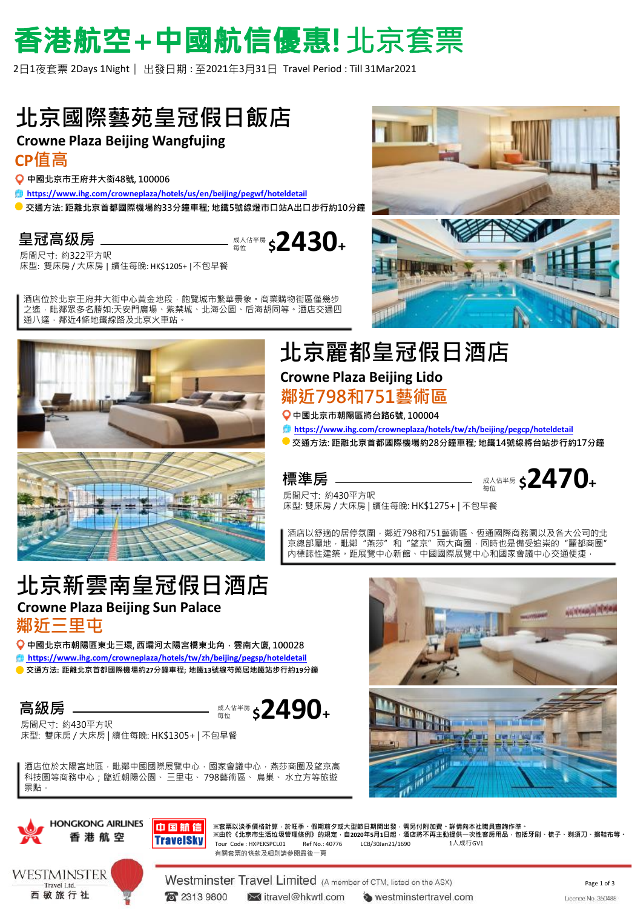# 香港航空+中國航信優惠! 北京套票

2日1夜套票 2Days 1Night ︳出發日期 : 至2021年3月31日 Travel Period : Till 31Mar2021

### **北京國際藝苑皇冠假日飯店**

### **Crowne Plaza Beijing Wangfujing**

#### **CP值高**

**中國北京市王府井大衒48號, 100006**

- **[https://www.ihg.com/crowneplaza/hotels/us/en/beijing/pegwf/hoteldetail](http://www.ihg.com/holidayinnexpress/hotels/cn/zh/beijing/pegdr/hoteldetail)**
- **交通方法: 距離北京首都國際機場約33分鐘車程; 地鐵5號線燈市口站A出口步行約10分鐘**

### **皇冠高级房**

房間尺寸: 約322平方呎 床型: 雙床房 / 大床房 | 續住每晚: HK\$1205+ |不包早餐

酒店位於北京王府井大街中心黃金地段﹐飽覽城市繁華景象﹐商業購物街區僅幾步 之遙,毗鄰眾多名勝如:天安門廣場、紫禁城、北海公園、后海胡同等。酒店交通四 通八達,鄰近4條地鐵線路及北京火車站。



### **Crowne Plaza Beijing Lido 鄰近798和751藝術區 北京麗都皇冠假日酒店**

**中國北京市朝陽區將台路6號, 100004**

- **[https://www.ihg.com/crowneplaza/hotels/tw/zh/beijing/pegcp/hoteldetail](https://all.accor.com/hotel/6684/index.zh.shtml)**
- **交通方法: 距離北京首都國際機場約28分鐘車程; 地鐵14號線將台站步行約17分鐘**

#### **標準房**

成人佔半房 每位 **\$2430<sup>+</sup>**

成人佔半房 每位 **\$2470<sup>+</sup>**

房間尺寸: 約430平方呎 床型: 雙床房 / 大床房 | 續住每晚: HK\$1275+ | 不包早餐

酒店以舒適的居停氛圍,鄰近798和751藝術區、恆通國際商務園以及各大公司的北 京總部屬地,毗鄰"燕莎"和"望京"兩大商圈,同時也是備受追崇的"麗都商圈" 內標誌性建築。距展覽中心新館、中國國際展覽中心和國家會議中心交通便捷,

### **北京新雲南皇冠假日酒店 Crowne Plaza Beijing Sun Palace 鄰近三里屯**

**中國北京市朝陽區東北三環, 西壩河太陽宮橋東北角,雲南大廈, 100028 [https://www.ihg.com/crowneplaza/hotels/tw/zh/beijing/pegsp/hoteldetail](http://www.millenniumhotels.com/zh/beijing/grand-millennium-beijing)**

**交通方法: 距離北京首都國際機場約27分鐘車程; 地鐵13號線芍藥居地鐵站步行約19分鐘**

**高級房**

成人佔半房 每位 **\$2490<sup>+</sup>**

房間尺寸: 約430平方呎 床型: 雙床房 / 大床房 | 續住每晚: HK\$1305+ | 不包早餐

**HONGKONG AIRLINES** 

香港航空

WESTMINSTER

Travel Ltd. 西敏旅行社

酒店位於太陽宮地區,毗鄰中國國際展覽中心,國家會議中心,燕莎商圈及望京高 科技園等商務中心;臨近朝陽公園、 三里屯、 798藝術區、 鳥巢、 水立方等旅遊 景點,





Westminster Travel Limited (A member of CTM, listed on the ASX) **R** 2313 9800 itravel@hkwtl.com

westminstertravel.com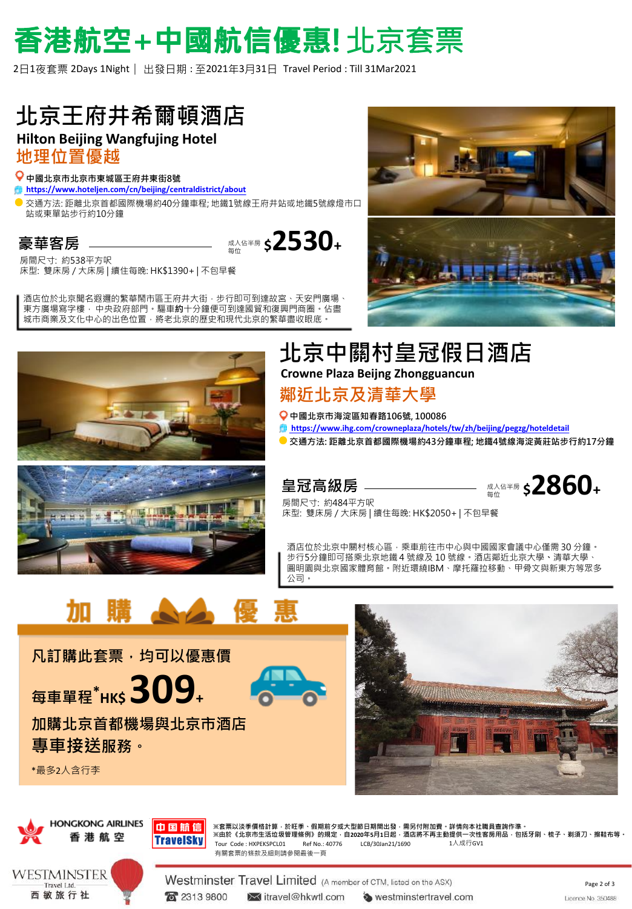# 香港航空+中國航信優惠! 北京套票

2日1夜套票 2Days 1Night ︳出發日期 : 至2021年3月31日 Travel Period : Till 31Mar2021

## **北京王府井希爾頓酒店**

### **Hilton Beijing Wangfujing Hotel**

**地理位置優越**

#### **中國北京市北京市東城區王府井東街8號**

**[https://www.hoteljen.com/cn/beijing/centraldistrict/about](http://www.hoteljen.com/cn/beijing/centraldistrict/about)**

交通方法: 距離北京首都國際機場約40分鐘車程; 地鐵1號線王府井站或地鐵5號線燈市口 站或東單站步行約10分鐘

> 成人佔半房 **\*\*\*\*\* \$2530+**

### **豪華客房**

房間尺寸: 約538平方呎 床型: 雙床房 / 大床房 | 續住每晚: HK\$1390+ | 不包早餐

酒店位於北京聞名遐邇的繁華鬧市區王府井大街,步行即可到達故宮、天安門廣場、 東方廣場寫字樓, 中央政府部門。驅車**約**十分鐘便可到達國貿和復興門商圈。佔盡 城市商業及文化中心的出色位置,將老北京的歷史和現代北京的繁華盡收眼底。





### **北京中關村皇冠假日酒店 Crowne Plaza Beijng Zhongguancun**

### **鄰近北京及清華大學**

**中國北京市海淀區知春路106號, 100086**

- **[https://www.ihg.com/crowneplaza/hotels/tw/zh/beijing/pegzg/hoteldetail](http://www.hyatt.com/zh-CN/hotel/china/park-hyatt-beijing/beiph)**
- **交通方法: 距離北京首都國際機場約43分鐘車程; 地鐵4號線海淀黃莊站步行約17分鐘**



### 皇冠高級**房**



房間尺寸: 約484平方呎 床型: 雙床房 / 大床房 | 續住每晚: HK\$2050+ | 不包早餐

酒店位於北京中關村核心區,乘車前往市中心與中國國家會議中心僅需 30 分鐘。 步行5分鐘即可搭乘北京地鐵 4 號線及 10 號線。酒店鄰近北京大學**、**清華大學、 圓明園與北京國家體育館。附近環繞IBM、摩托羅拉移動、甲骨文與新東方等眾多 公司。







中国航信 **TravelSky** 

**※套票以淡季價格計算,於旺季、假期前夕或大型節日期間出發,需另付附加費。詳情向本社職員查詢作準。 ※由於《北京市生活垃圾管理條例》的規定,自2020年5月1日起,酒店將不再主動提供一次性客房用品,包括牙刷、梳子、剃須刀、擦鞋布等。** 有關套票的條款及細則請參閱最後一頁 Tour Code :  $HXPFKSPC101$  Ref No.: 40776 LCB/30Jan21/1690

Westminster Travel Limited (A member of CTM, listed on the ASX) **R** 2313 9800 itravel@hkwtl.com westminstertravel.com